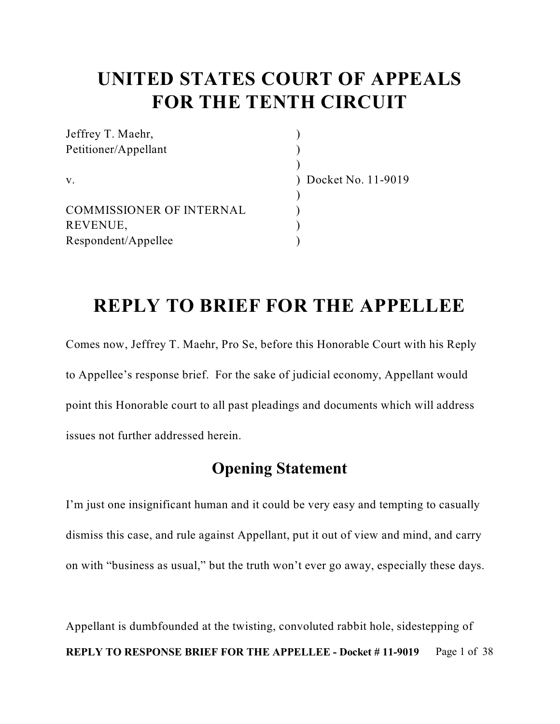## **UNITED STATES COURT OF APPEALS FOR THE TENTH CIRCUIT**

| Docket No. 11-9019 |
|--------------------|
|                    |
|                    |
|                    |
|                    |
|                    |

## **REPLY TO BRIEF FOR THE APPELLEE**

Comes now, Jeffrey T. Maehr, Pro Se, before this Honorable Court with his Reply to Appellee's response brief. For the sake of judicial economy, Appellant would point this Honorable court to all past pleadings and documents which will address issues not further addressed herein.

### **Opening Statement**

I'm just one insignificant human and it could be very easy and tempting to casually dismiss this case, and rule against Appellant, put it out of view and mind, and carry on with "business as usual," but the truth won't ever go away, especially these days.

Appellant is dumbfounded at the twisting, convoluted rabbit hole, sidestepping of **REPLY TO RESPONSE BRIEF FOR THE APPELLEE - Docket #11-9019** Page 1 of 38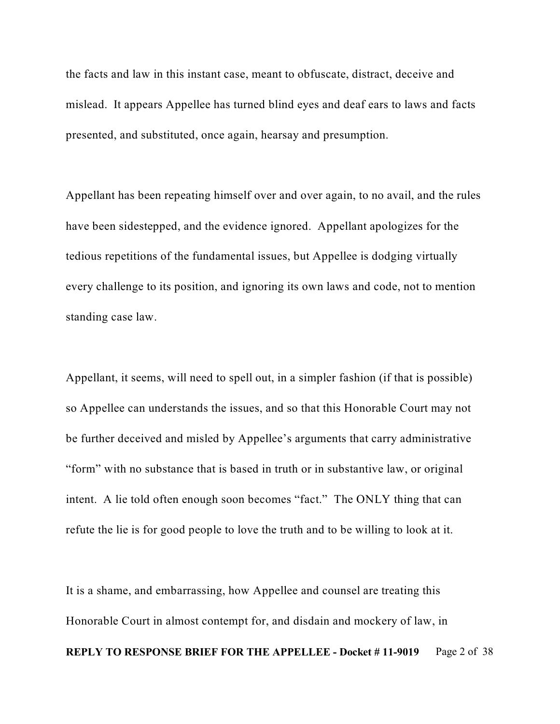the facts and law in this instant case, meant to obfuscate, distract, deceive and mislead. It appears Appellee has turned blind eyes and deaf ears to laws and facts presented, and substituted, once again, hearsay and presumption.

Appellant has been repeating himself over and over again, to no avail, and the rules have been sidestepped, and the evidence ignored. Appellant apologizes for the tedious repetitions of the fundamental issues, but Appellee is dodging virtually every challenge to its position, and ignoring its own laws and code, not to mention standing case law.

Appellant, it seems, will need to spell out, in a simpler fashion (if that is possible) so Appellee can understands the issues, and so that this Honorable Court may not be further deceived and misled by Appellee's arguments that carry administrative "form" with no substance that is based in truth or in substantive law, or original intent. A lie told often enough soon becomes "fact." The ONLY thing that can refute the lie is for good people to love the truth and to be willing to look at it.

It is a shame, and embarrassing, how Appellee and counsel are treating this Honorable Court in almost contempt for, and disdain and mockery of law, in **REPLY TO RESPONSE BRIEF FOR THE APPELLEE - Docket #11-9019** Page 2 of 38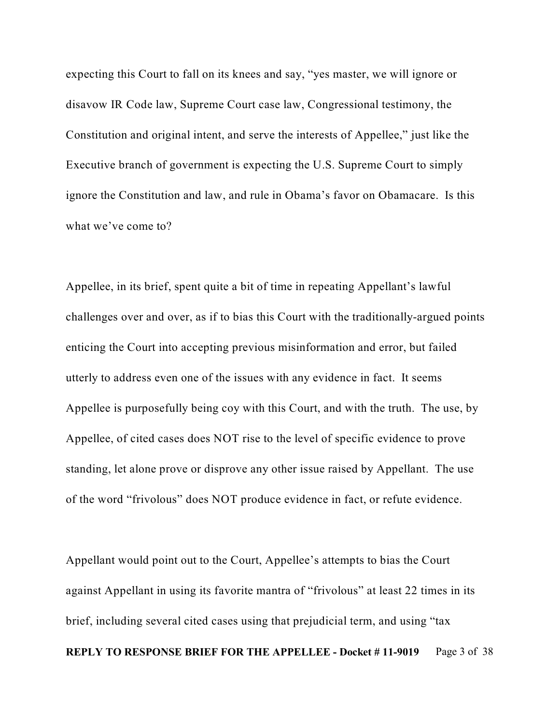expecting this Court to fall on its knees and say, "yes master, we will ignore or disavow IR Code law, Supreme Court case law, Congressional testimony, the Constitution and original intent, and serve the interests of Appellee," just like the Executive branch of government is expecting the U.S. Supreme Court to simply ignore the Constitution and law, and rule in Obama's favor on Obamacare. Is this what we've come to?

Appellee, in its brief, spent quite a bit of time in repeating Appellant's lawful challenges over and over, as if to bias this Court with the traditionally-argued points enticing the Court into accepting previous misinformation and error, but failed utterly to address even one of the issues with any evidence in fact. It seems Appellee is purposefully being coy with this Court, and with the truth. The use, by Appellee, of cited cases does NOT rise to the level of specific evidence to prove standing, let alone prove or disprove any other issue raised by Appellant. The use of the word "frivolous" does NOT produce evidence in fact, or refute evidence.

Appellant would point out to the Court, Appellee's attempts to bias the Court against Appellant in using its favorite mantra of "frivolous" at least 22 times in its brief, including several cited cases using that prejudicial term, and using "tax **REPLY TO RESPONSE BRIEF FOR THE APPELLEE - Docket #11-9019** Page 3 of 38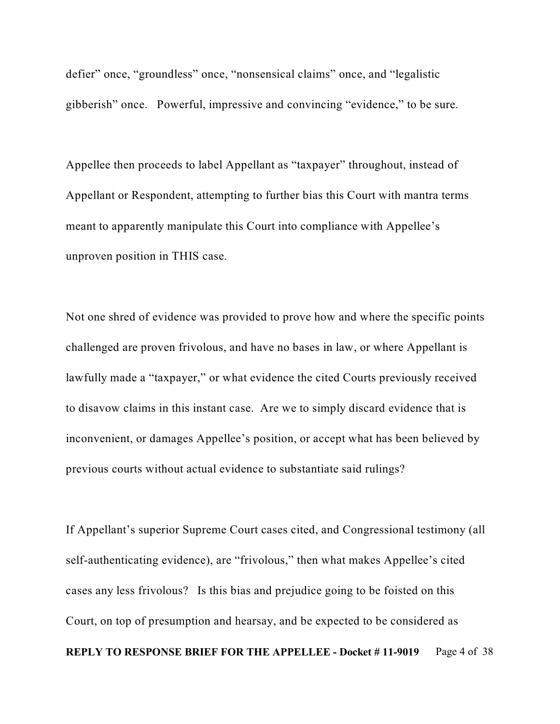defier" once, "groundless" once, "nonsensical claims" once, and "legalistic gibberish" once. Powerful, impressive and convincing "evidence," to be sure.

Appellee then proceeds to label Appellant as "taxpayer" throughout, instead of Appellant or Respondent, attempting to further bias this Court with mantra terms meant to apparently manipulate this Court into compliance with Appellee's unproven position in THIS case.

Not one shred of evidence was provided to prove how and where the specific points challenged are proven frivolous, and have no bases in law, or where Appellant is lawfully made a "taxpayer," or what evidence the cited Courts previously received to disavow claims in this instant case. Are we to simply discard evidence that is inconvenient, or damages Appellee's position, or accept what has been believed by previous courts without actual evidence to substantiate said rulings?

If Appellant's superior Supreme Court cases cited, and Congressional testimony (all self-authenticating evidence), are "frivolous," then what makes Appellee's cited cases any less frivolous? Is this bias and prejudice going to be foisted on this Court, on top of presumption and hearsay, and be expected to be considered as **REPLY TO RESPONSE BRIEF FOR THE APPELLEE - Docket #11-9019** Page 4 of 38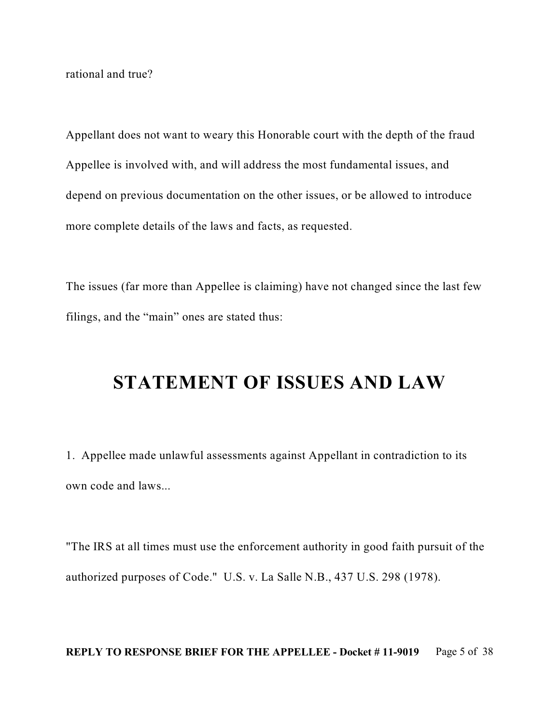rational and true?

Appellant does not want to weary this Honorable court with the depth of the fraud Appellee is involved with, and will address the most fundamental issues, and depend on previous documentation on the other issues, or be allowed to introduce more complete details of the laws and facts, as requested.

The issues (far more than Appellee is claiming) have not changed since the last few filings, and the "main" ones are stated thus:

## **STATEMENT OF ISSUES AND LAW**

1. Appellee made unlawful assessments against Appellant in contradiction to its own code and laws...

"The IRS at all times must use the enforcement authority in good faith pursuit of the authorized purposes of Code." U.S. v. La Salle N.B., 437 U.S. 298 (1978).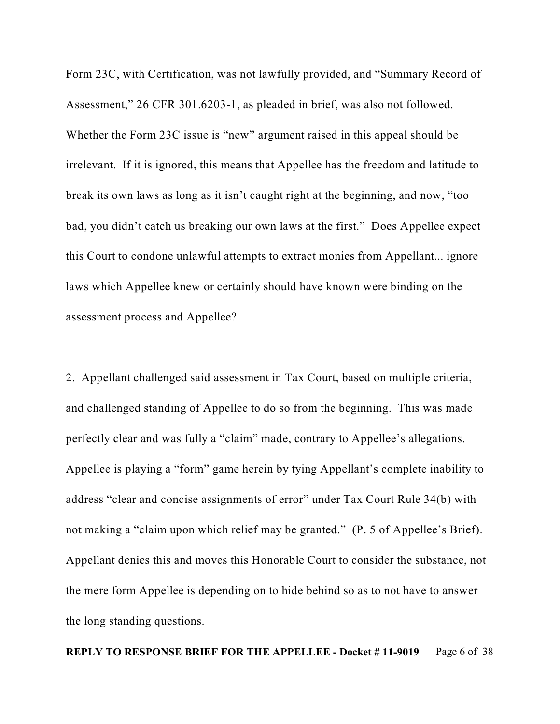Form 23C, with Certification, was not lawfully provided, and "Summary Record of Assessment," 26 CFR 301.6203-1, as pleaded in brief, was also not followed. Whether the Form 23C issue is "new" argument raised in this appeal should be irrelevant. If it is ignored, this means that Appellee has the freedom and latitude to break its own laws as long as it isn't caught right at the beginning, and now, "too bad, you didn't catch us breaking our own laws at the first." Does Appellee expect this Court to condone unlawful attempts to extract monies from Appellant... ignore laws which Appellee knew or certainly should have known were binding on the assessment process and Appellee?

2. Appellant challenged said assessment in Tax Court, based on multiple criteria, and challenged standing of Appellee to do so from the beginning. This was made perfectly clear and was fully a "claim" made, contrary to Appellee's allegations. Appellee is playing a "form" game herein by tying Appellant's complete inability to address "clear and concise assignments of error" under Tax Court Rule 34(b) with not making a "claim upon which relief may be granted." (P. 5 of Appellee's Brief). Appellant denies this and moves this Honorable Court to consider the substance, not the mere form Appellee is depending on to hide behind so as to not have to answer the long standing questions.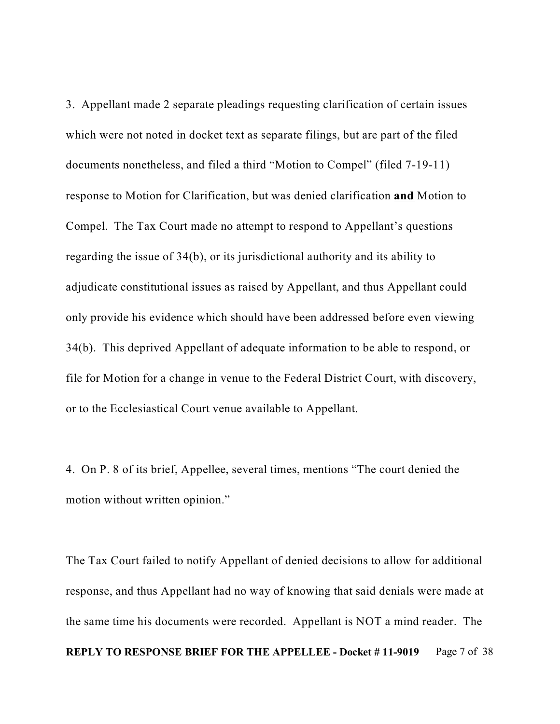3. Appellant made 2 separate pleadings requesting clarification of certain issues which were not noted in docket text as separate filings, but are part of the filed documents nonetheless, and filed a third "Motion to Compel" (filed 7-19-11) response to Motion for Clarification, but was denied clarification **and** Motion to Compel. The Tax Court made no attempt to respond to Appellant's questions regarding the issue of 34(b), or its jurisdictional authority and its ability to adjudicate constitutional issues as raised by Appellant, and thus Appellant could only provide his evidence which should have been addressed before even viewing 34(b). This deprived Appellant of adequate information to be able to respond, or file for Motion for a change in venue to the Federal District Court, with discovery, or to the Ecclesiastical Court venue available to Appellant.

4. On P. 8 of its brief, Appellee, several times, mentions "The court denied the motion without written opinion."

The Tax Court failed to notify Appellant of denied decisions to allow for additional response, and thus Appellant had no way of knowing that said denials were made at the same time his documents were recorded. Appellant is NOT a mind reader. The **REPLY TO RESPONSE BRIEF FOR THE APPELLEE - Docket #11-9019** Page 7 of 38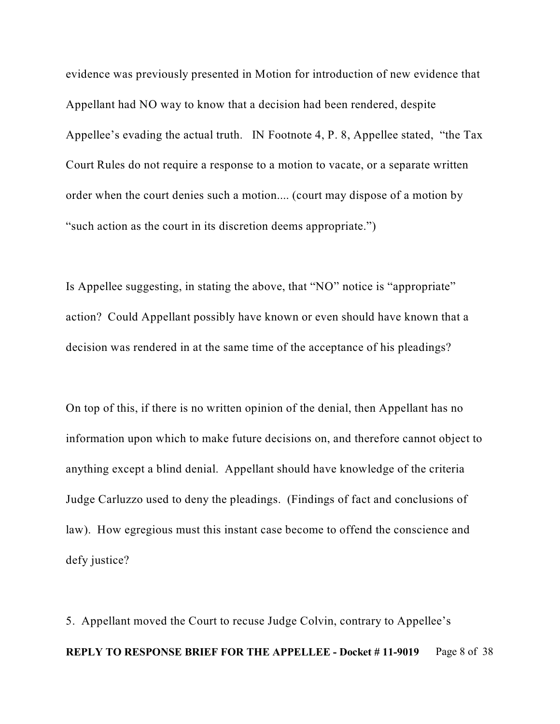evidence was previously presented in Motion for introduction of new evidence that Appellant had NO way to know that a decision had been rendered, despite Appellee's evading the actual truth. IN Footnote 4, P. 8, Appellee stated, "the Tax Court Rules do not require a response to a motion to vacate, or a separate written order when the court denies such a motion.... (court may dispose of a motion by "such action as the court in its discretion deems appropriate.")

Is Appellee suggesting, in stating the above, that "NO" notice is "appropriate" action? Could Appellant possibly have known or even should have known that a decision was rendered in at the same time of the acceptance of his pleadings?

On top of this, if there is no written opinion of the denial, then Appellant has no information upon which to make future decisions on, and therefore cannot object to anything except a blind denial. Appellant should have knowledge of the criteria Judge Carluzzo used to deny the pleadings. (Findings of fact and conclusions of law). How egregious must this instant case become to offend the conscience and defy justice?

5. Appellant moved the Court to recuse Judge Colvin, contrary to Appellee's **REPLY TO RESPONSE BRIEF FOR THE APPELLEE - Docket #11-9019** Page 8 of 38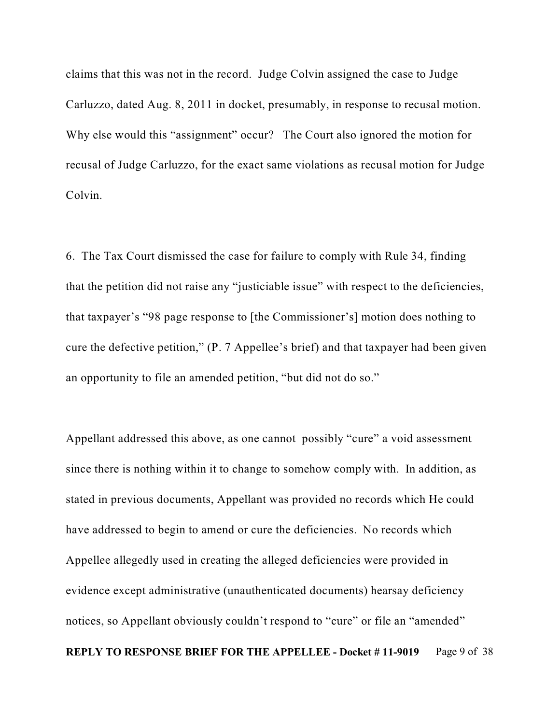claims that this was not in the record. Judge Colvin assigned the case to Judge Carluzzo, dated Aug. 8, 2011 in docket, presumably, in response to recusal motion. Why else would this "assignment" occur? The Court also ignored the motion for recusal of Judge Carluzzo, for the exact same violations as recusal motion for Judge Colvin.

6. The Tax Court dismissed the case for failure to comply with Rule 34, finding that the petition did not raise any "justiciable issue" with respect to the deficiencies, that taxpayer's "98 page response to [the Commissioner's] motion does nothing to cure the defective petition," (P. 7 Appellee's brief) and that taxpayer had been given an opportunity to file an amended petition, "but did not do so."

Appellant addressed this above, as one cannot possibly "cure" a void assessment since there is nothing within it to change to somehow comply with. In addition, as stated in previous documents, Appellant was provided no records which He could have addressed to begin to amend or cure the deficiencies. No records which Appellee allegedly used in creating the alleged deficiencies were provided in evidence except administrative (unauthenticated documents) hearsay deficiency notices, so Appellant obviously couldn't respond to "cure" or file an "amended" **REPLY TO RESPONSE BRIEF FOR THE APPELLEE - Docket #11-9019** Page 9 of 38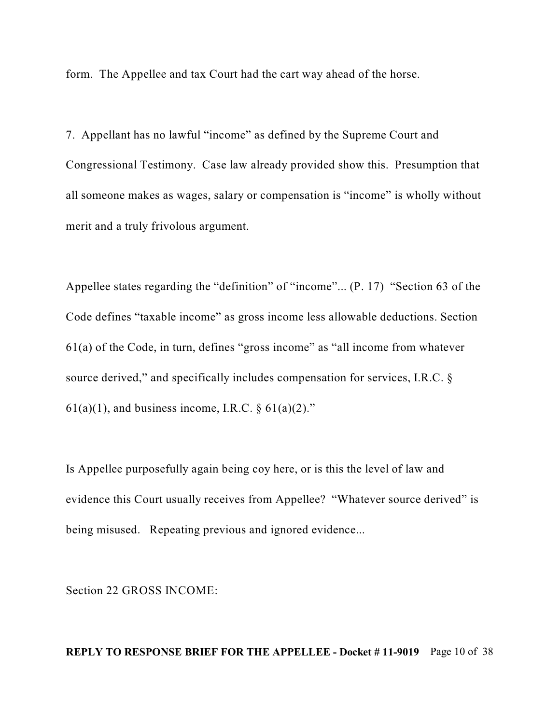form. The Appellee and tax Court had the cart way ahead of the horse.

7. Appellant has no lawful "income" as defined by the Supreme Court and Congressional Testimony. Case law already provided show this. Presumption that all someone makes as wages, salary or compensation is "income" is wholly without merit and a truly frivolous argument.

Appellee states regarding the "definition" of "income"... (P. 17) "Section 63 of the Code defines "taxable income" as gross income less allowable deductions. Section 61(a) of the Code, in turn, defines "gross income" as "all income from whatever source derived," and specifically includes compensation for services, I.R.C. §  $61(a)(1)$ , and business income, I.R.C. §  $61(a)(2)$ ."

Is Appellee purposefully again being coy here, or is this the level of law and evidence this Court usually receives from Appellee? "Whatever source derived" is being misused. Repeating previous and ignored evidence...

Section 22 GROSS INCOME:

#### **REPLY TO RESPONSE BRIEF FOR THE APPELLEE - Docket # 11-9019** Page 10 of 38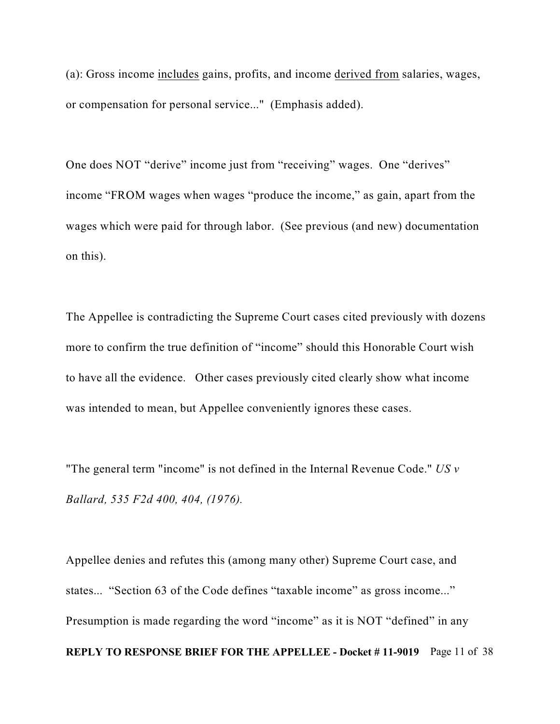(a): Gross income includes gains, profits, and income derived from salaries, wages, or compensation for personal service..." (Emphasis added).

One does NOT "derive" income just from "receiving" wages. One "derives" income "FROM wages when wages "produce the income," as gain, apart from the wages which were paid for through labor. (See previous (and new) documentation on this).

The Appellee is contradicting the Supreme Court cases cited previously with dozens more to confirm the true definition of "income" should this Honorable Court wish to have all the evidence. Other cases previously cited clearly show what income was intended to mean, but Appellee conveniently ignores these cases.

"The general term "income" is not defined in the Internal Revenue Code." *US v Ballard, 535 F2d 400, 404, (1976).*

Appellee denies and refutes this (among many other) Supreme Court case, and states... "Section 63 of the Code defines "taxable income" as gross income..." Presumption is made regarding the word "income" as it is NOT "defined" in any **REPLY TO RESPONSE BRIEF FOR THE APPELLEE - Docket # 11-9019** Page 11 of 38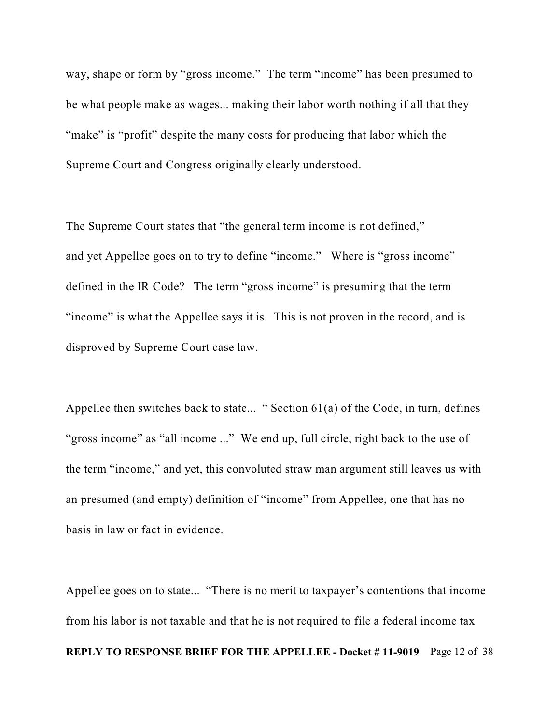way, shape or form by "gross income." The term "income" has been presumed to be what people make as wages... making their labor worth nothing if all that they "make" is "profit" despite the many costs for producing that labor which the Supreme Court and Congress originally clearly understood.

The Supreme Court states that "the general term income is not defined," and yet Appellee goes on to try to define "income." Where is "gross income" defined in the IR Code? The term "gross income" is presuming that the term "income" is what the Appellee says it is. This is not proven in the record, and is disproved by Supreme Court case law.

Appellee then switches back to state... " Section  $61(a)$  of the Code, in turn, defines "gross income" as "all income ..." We end up, full circle, right back to the use of the term "income," and yet, this convoluted straw man argument still leaves us with an presumed (and empty) definition of "income" from Appellee, one that has no basis in law or fact in evidence.

Appellee goes on to state... "There is no merit to taxpayer's contentions that income from his labor is not taxable and that he is not required to file a federal income tax **REPLY TO RESPONSE BRIEF FOR THE APPELLEE - Docket # 11-9019** Page 12 of 38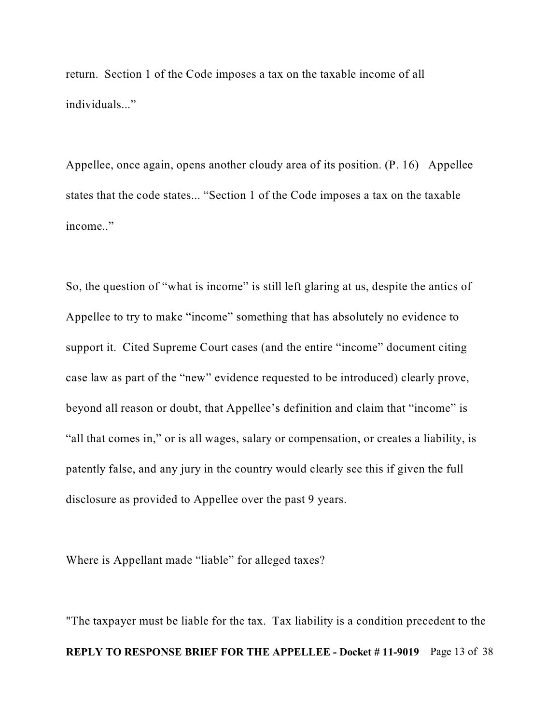return. Section 1 of the Code imposes a tax on the taxable income of all individuals..."

Appellee, once again, opens another cloudy area of its position. (P. 16) Appellee states that the code states... "Section 1 of the Code imposes a tax on the taxable income.."

So, the question of "what is income" is still left glaring at us, despite the antics of Appellee to try to make "income" something that has absolutely no evidence to support it. Cited Supreme Court cases (and the entire "income" document citing case law as part of the "new" evidence requested to be introduced) clearly prove, beyond all reason or doubt, that Appellee's definition and claim that "income" is "all that comes in," or is all wages, salary or compensation, or creates a liability, is patently false, and any jury in the country would clearly see this if given the full disclosure as provided to Appellee over the past 9 years.

Where is Appellant made "liable" for alleged taxes?

"The taxpayer must be liable for the tax. Tax liability is a condition precedent to the **REPLY TO RESPONSE BRIEF FOR THE APPELLEE - Docket # 11-9019** Page 13 of 38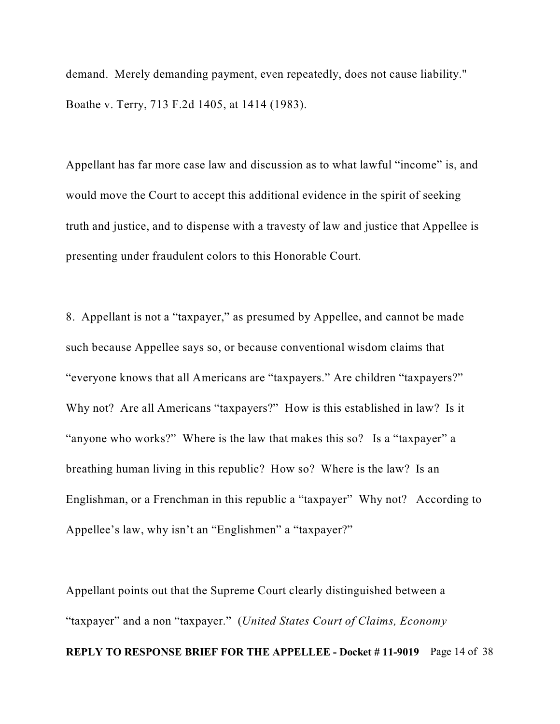demand. Merely demanding payment, even repeatedly, does not cause liability." Boathe v. Terry, 713 F.2d 1405, at 1414 (1983).

Appellant has far more case law and discussion as to what lawful "income" is, and would move the Court to accept this additional evidence in the spirit of seeking truth and justice, and to dispense with a travesty of law and justice that Appellee is presenting under fraudulent colors to this Honorable Court.

8. Appellant is not a "taxpayer," as presumed by Appellee, and cannot be made such because Appellee says so, or because conventional wisdom claims that "everyone knows that all Americans are "taxpayers." Are children "taxpayers?" Why not? Are all Americans "taxpayers?" How is this established in law? Is it "anyone who works?" Where is the law that makes this so? Is a "taxpayer" a breathing human living in this republic? How so? Where is the law? Is an Englishman, or a Frenchman in this republic a "taxpayer" Why not? According to Appellee's law, why isn't an "Englishmen" a "taxpayer?"

Appellant points out that the Supreme Court clearly distinguished between a "taxpayer" and a non "taxpayer." (*United States Court of Claims, Economy* **REPLY TO RESPONSE BRIEF FOR THE APPELLEE - Docket # 11-9019** Page 14 of 38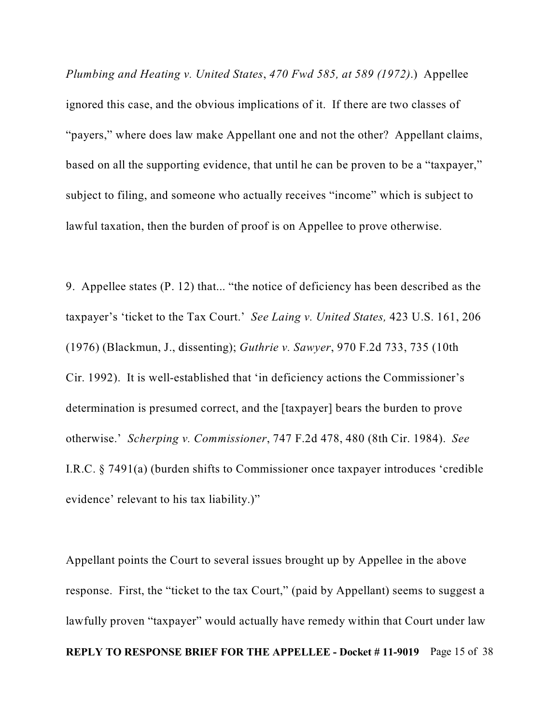*Plumbing and Heating v. United States*, *470 Fwd 585, at 589 (1972)*.) Appellee ignored this case, and the obvious implications of it. If there are two classes of "payers," where does law make Appellant one and not the other? Appellant claims, based on all the supporting evidence, that until he can be proven to be a "taxpayer," subject to filing, and someone who actually receives "income" which is subject to lawful taxation, then the burden of proof is on Appellee to prove otherwise.

9. Appellee states (P. 12) that... "the notice of deficiency has been described as the taxpayer's 'ticket to the Tax Court.' *See Laing v. United States,* 423 U.S. 161, 206 (1976) (Blackmun, J., dissenting); *Guthrie v. Sawyer*, 970 F.2d 733, 735 (10th Cir. 1992). It is well-established that 'in deficiency actions the Commissioner's determination is presumed correct, and the [taxpayer] bears the burden to prove otherwise.' *Scherping v. Commissioner*, 747 F.2d 478, 480 (8th Cir. 1984). *See* I.R.C. § 7491(a) (burden shifts to Commissioner once taxpayer introduces 'credible evidence' relevant to his tax liability.)"

Appellant points the Court to several issues brought up by Appellee in the above response. First, the "ticket to the tax Court," (paid by Appellant) seems to suggest a lawfully proven "taxpayer" would actually have remedy within that Court under law **REPLY TO RESPONSE BRIEF FOR THE APPELLEE - Docket # 11-9019** Page 15 of 38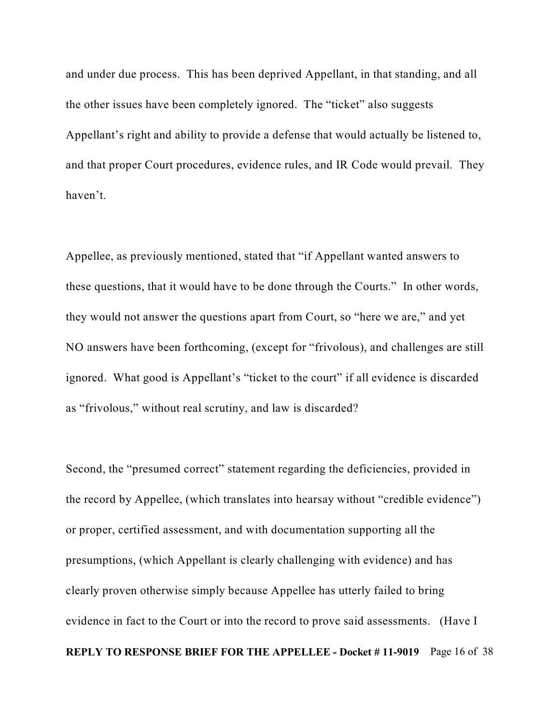and under due process. This has been deprived Appellant, in that standing, and all the other issues have been completely ignored. The "ticket" also suggests Appellant's right and ability to provide a defense that would actually be listened to, and that proper Court procedures, evidence rules, and IR Code would prevail. They haven't.

Appellee, as previously mentioned, stated that "if Appellant wanted answers to these questions, that it would have to be done through the Courts." In other words, they would not answer the questions apart from Court, so "here we are," and yet NO answers have been forthcoming, (except for "frivolous), and challenges are still ignored. What good is Appellant's "ticket to the court" if all evidence is discarded as "frivolous," without real scrutiny, and law is discarded?

Second, the "presumed correct" statement regarding the deficiencies, provided in the record by Appellee, (which translates into hearsay without "credible evidence") or proper, certified assessment, and with documentation supporting all the presumptions, (which Appellant is clearly challenging with evidence) and has clearly proven otherwise simply because Appellee has utterly failed to bring evidence in fact to the Court or into the record to prove said assessments. (Have I **REPLY TO RESPONSE BRIEF FOR THE APPELLEE - Docket # 11-9019** Page 16 of 38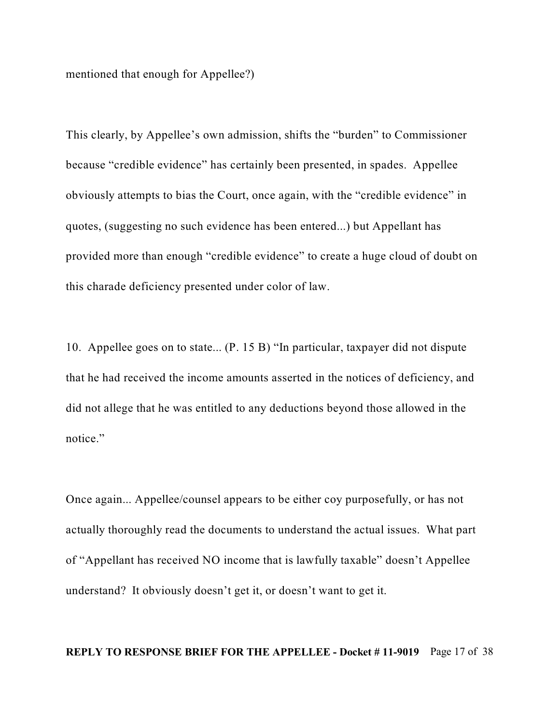mentioned that enough for Appellee?)

This clearly, by Appellee's own admission, shifts the "burden" to Commissioner because "credible evidence" has certainly been presented, in spades. Appellee obviously attempts to bias the Court, once again, with the "credible evidence" in quotes, (suggesting no such evidence has been entered...) but Appellant has provided more than enough "credible evidence" to create a huge cloud of doubt on this charade deficiency presented under color of law.

10. Appellee goes on to state... (P. 15 B) "In particular, taxpayer did not dispute that he had received the income amounts asserted in the notices of deficiency, and did not allege that he was entitled to any deductions beyond those allowed in the notice."

Once again... Appellee/counsel appears to be either coy purposefully, or has not actually thoroughly read the documents to understand the actual issues. What part of "Appellant has received NO income that is lawfully taxable" doesn't Appellee understand? It obviously doesn't get it, or doesn't want to get it.

#### **REPLY TO RESPONSE BRIEF FOR THE APPELLEE - Docket # 11-9019** Page 17 of 38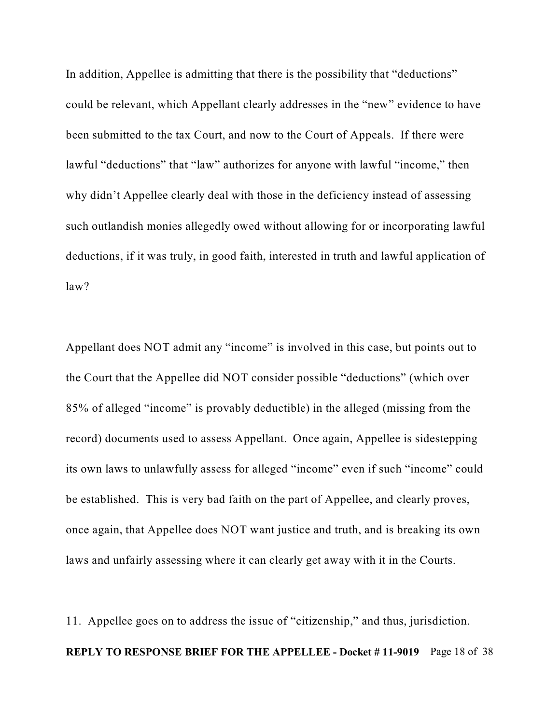In addition, Appellee is admitting that there is the possibility that "deductions" could be relevant, which Appellant clearly addresses in the "new" evidence to have been submitted to the tax Court, and now to the Court of Appeals. If there were lawful "deductions" that "law" authorizes for anyone with lawful "income," then why didn't Appellee clearly deal with those in the deficiency instead of assessing such outlandish monies allegedly owed without allowing for or incorporating lawful deductions, if it was truly, in good faith, interested in truth and lawful application of law?

Appellant does NOT admit any "income" is involved in this case, but points out to the Court that the Appellee did NOT consider possible "deductions" (which over 85% of alleged "income" is provably deductible) in the alleged (missing from the record) documents used to assess Appellant. Once again, Appellee is sidestepping its own laws to unlawfully assess for alleged "income" even if such "income" could be established. This is very bad faith on the part of Appellee, and clearly proves, once again, that Appellee does NOT want justice and truth, and is breaking its own laws and unfairly assessing where it can clearly get away with it in the Courts.

11. Appellee goes on to address the issue of "citizenship," and thus, jurisdiction. **REPLY TO RESPONSE BRIEF FOR THE APPELLEE - Docket # 11-9019** Page 18 of 38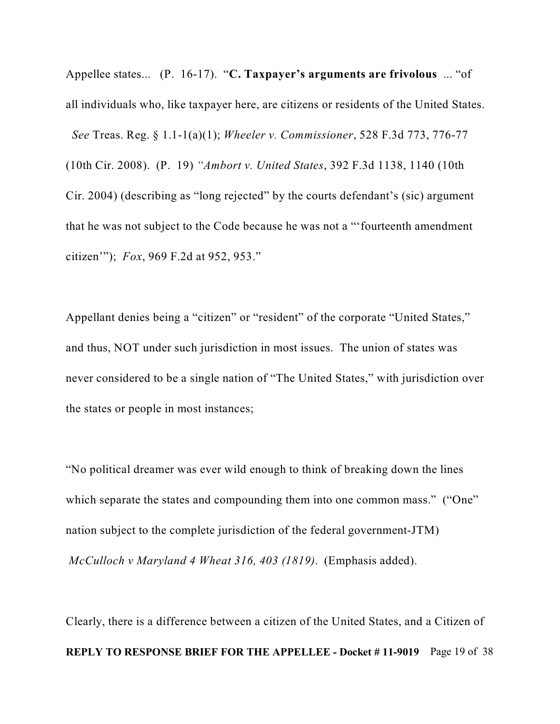Appellee states... (P. 16-17). "**C. Taxpayer's arguments are frivolous** ... "of all individuals who, like taxpayer here, are citizens or residents of the United States. *See* Treas. Reg. § 1.1-1(a)(1); *Wheeler v. Commissioner*, 528 F.3d 773, 776-77 (10th Cir. 2008). (P. 19) *"Ambort v. United States*, 392 F.3d 1138, 1140 (10th Cir. 2004) (describing as "long rejected" by the courts defendant's (sic) argument that he was not subject to the Code because he was not a "'fourteenth amendment citizen'"); *Fox*, 969 F.2d at 952, 953."

Appellant denies being a "citizen" or "resident" of the corporate "United States," and thus, NOT under such jurisdiction in most issues. The union of states was never considered to be a single nation of "The United States," with jurisdiction over the states or people in most instances;

"No political dreamer was ever wild enough to think of breaking down the lines which separate the states and compounding them into one common mass." ("One" nation subject to the complete jurisdiction of the federal government-JTM) *McCulloch v Maryland 4 Wheat 316, 403 (1819)*. (Emphasis added).

Clearly, there is a difference between a citizen of the United States, and a Citizen of **REPLY TO RESPONSE BRIEF FOR THE APPELLEE - Docket # 11-9019** Page 19 of 38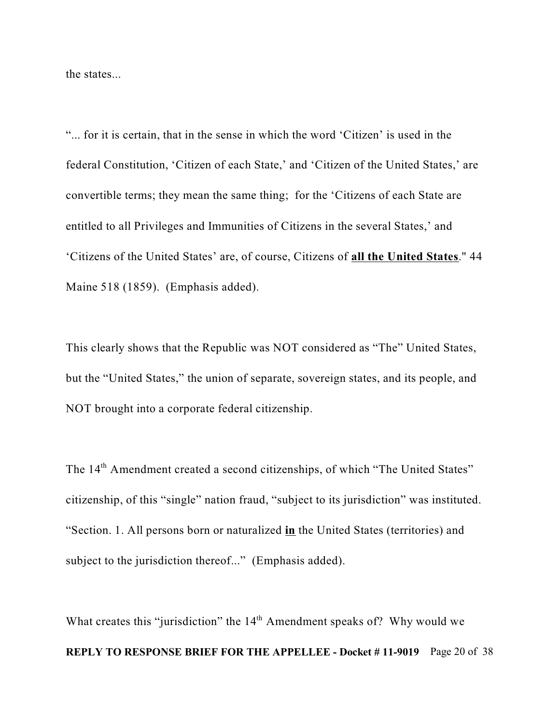the states...

"... for it is certain, that in the sense in which the word 'Citizen' is used in the federal Constitution, 'Citizen of each State,' and 'Citizen of the United States,' are convertible terms; they mean the same thing; for the 'Citizens of each State are entitled to all Privileges and Immunities of Citizens in the several States,' and 'Citizens of the United States' are, of course, Citizens of **all the United States**." 44 Maine 518 (1859). (Emphasis added).

This clearly shows that the Republic was NOT considered as "The" United States, but the "United States," the union of separate, sovereign states, and its people, and NOT brought into a corporate federal citizenship.

The 14<sup>th</sup> Amendment created a second citizenships, of which "The United States" citizenship, of this "single" nation fraud, "subject to its jurisdiction" was instituted. "Section. 1. All persons born or naturalized **in** the United States (territories) and subject to the jurisdiction thereof..." (Emphasis added).

What creates this "jurisdiction" the  $14<sup>th</sup>$  Amendment speaks of? Why would we **REPLY TO RESPONSE BRIEF FOR THE APPELLEE - Docket # 11-9019** Page 20 of 38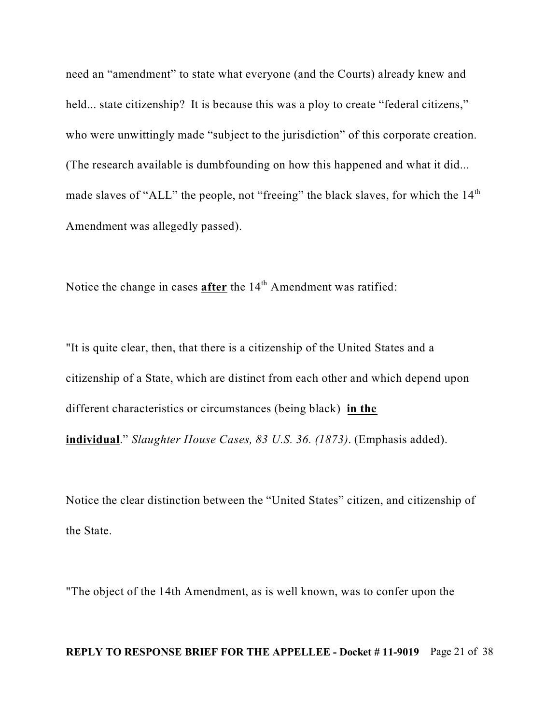need an "amendment" to state what everyone (and the Courts) already knew and held... state citizenship? It is because this was a ploy to create "federal citizens," who were unwittingly made "subject to the jurisdiction" of this corporate creation. (The research available is dumbfounding on how this happened and what it did... made slaves of "ALL" the people, not "freeing" the black slaves, for which the 14<sup>th</sup> Amendment was allegedly passed).

Notice the change in cases **after** the 14<sup>th</sup> Amendment was ratified:

"It is quite clear, then, that there is a citizenship of the United States and a citizenship of a State, which are distinct from each other and which depend upon different characteristics or circumstances (being black) **in the individual**." *Slaughter House Cases, 83 U.S. 36. (1873)*. (Emphasis added).

Notice the clear distinction between the "United States" citizen, and citizenship of the State.

"The object of the 14th Amendment, as is well known, was to confer upon the

#### **REPLY TO RESPONSE BRIEF FOR THE APPELLEE - Docket # 11-9019** Page 21 of 38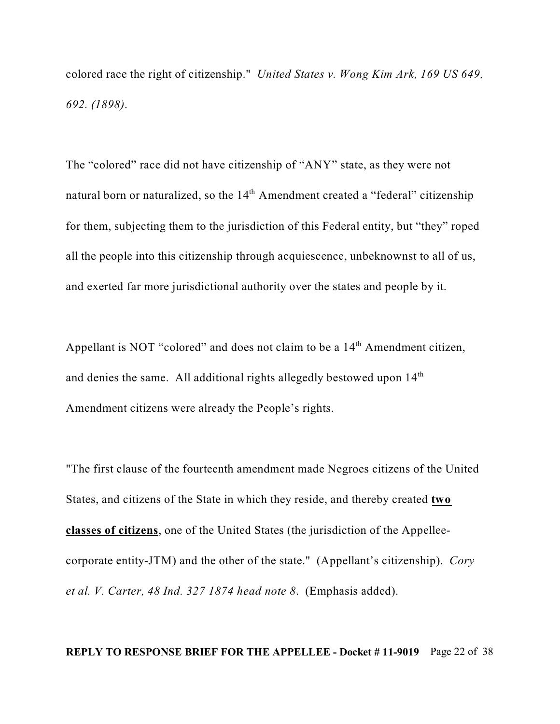colored race the right of citizenship." *United States v. Wong Kim Ark, 169 US 649, 692. (1898)*.

The "colored" race did not have citizenship of "ANY" state, as they were not natural born or naturalized, so the 14<sup>th</sup> Amendment created a "federal" citizenship for them, subjecting them to the jurisdiction of this Federal entity, but "they" roped all the people into this citizenship through acquiescence, unbeknownst to all of us, and exerted far more jurisdictional authority over the states and people by it.

Appellant is NOT "colored" and does not claim to be a  $14<sup>th</sup>$  Amendment citizen, and denies the same. All additional rights allegedly bestowed upon  $14<sup>th</sup>$ Amendment citizens were already the People's rights.

"The first clause of the fourteenth amendment made Negroes citizens of the United States, and citizens of the State in which they reside, and thereby created **two classes of citizens**, one of the United States (the jurisdiction of the Appelleecorporate entity-JTM) and the other of the state." (Appellant's citizenship). *Cory et al. V. Carter, 48 Ind. 327 1874 head note 8*. (Emphasis added).

#### **REPLY TO RESPONSE BRIEF FOR THE APPELLEE - Docket # 11-9019** Page 22 of 38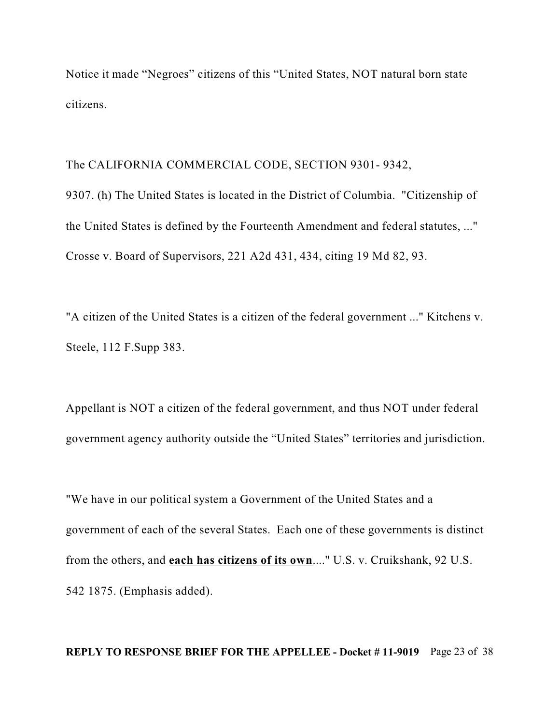Notice it made "Negroes" citizens of this "United States, NOT natural born state citizens.

#### The CALIFORNIA COMMERCIAL CODE, SECTION 9301- 9342,

9307. (h) The United States is located in the District of Columbia. "Citizenship of the United States is defined by the Fourteenth Amendment and federal statutes, ..." Crosse v. Board of Supervisors, 221 A2d 431, 434, citing 19 Md 82, 93.

"A citizen of the United States is a citizen of the federal government ..." Kitchens v. Steele, 112 F.Supp 383.

Appellant is NOT a citizen of the federal government, and thus NOT under federal government agency authority outside the "United States" territories and jurisdiction.

"We have in our political system a Government of the United States and a government of each of the several States. Each one of these governments is distinct from the others, and **each has citizens of its own**...." U.S. v. Cruikshank, 92 U.S. 542 1875. (Emphasis added).

#### **REPLY TO RESPONSE BRIEF FOR THE APPELLEE - Docket # 11-9019** Page 23 of 38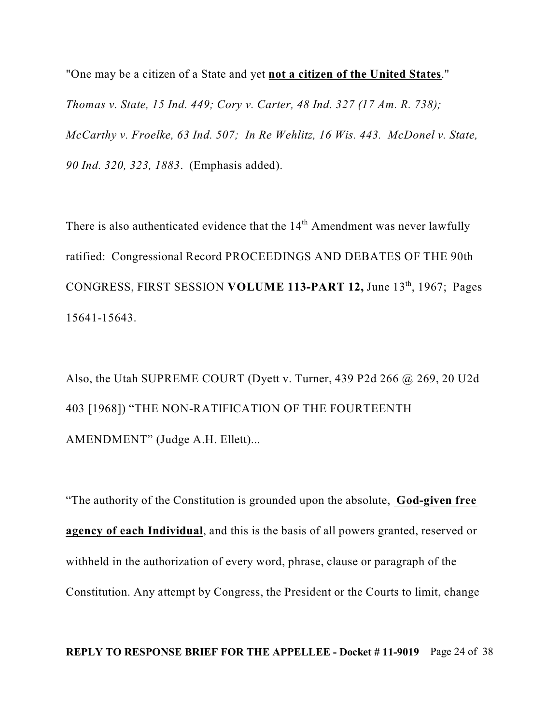"One may be a citizen of a State and yet **not a citizen of the United States**." *Thomas v. State, 15 Ind. 449; Cory v. Carter, 48 Ind. 327 (17 Am. R. 738); McCarthy v. Froelke, 63 Ind. 507; In Re Wehlitz, 16 Wis. 443. McDonel v. State, 90 Ind. 320, 323, 1883*. (Emphasis added).

There is also authenticated evidence that the  $14<sup>th</sup>$  Amendment was never lawfully ratified: Congressional Record PROCEEDINGS AND DEBATES OF THE 90th CONGRESS, FIRST SESSION VOLUME 113-PART 12, June 13<sup>th</sup>, 1967; Pages 15641-15643.

Also, the Utah SUPREME COURT (Dyett v. Turner, 439 P2d 266 @ 269, 20 U2d 403 [1968]) "THE NON-RATIFICATION OF THE FOURTEENTH AMENDMENT" (Judge A.H. Ellett)...

"The authority of the Constitution is grounded upon the absolute, **God-given free agency of each Individual**, and this is the basis of all powers granted, reserved or withheld in the authorization of every word, phrase, clause or paragraph of the Constitution. Any attempt by Congress, the President or the Courts to limit, change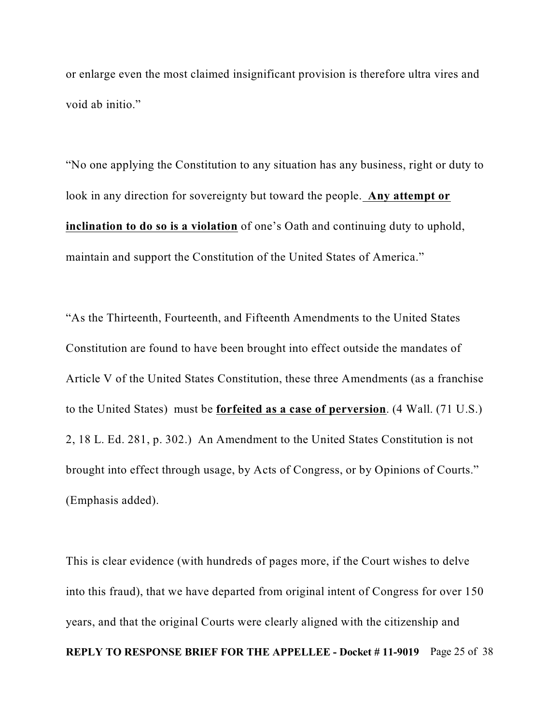or enlarge even the most claimed insignificant provision is therefore ultra vires and void ab initio."

"No one applying the Constitution to any situation has any business, right or duty to look in any direction for sovereignty but toward the people. **Any attempt or inclination to do so is a violation** of one's Oath and continuing duty to uphold, maintain and support the Constitution of the United States of America."

"As the Thirteenth, Fourteenth, and Fifteenth Amendments to the United States Constitution are found to have been brought into effect outside the mandates of Article V of the United States Constitution, these three Amendments (as a franchise to the United States) must be **forfeited as a case of perversion**. (4 Wall. (71 U.S.) 2, 18 L. Ed. 281, p. 302.) An Amendment to the United States Constitution is not brought into effect through usage, by Acts of Congress, or by Opinions of Courts." (Emphasis added).

This is clear evidence (with hundreds of pages more, if the Court wishes to delve into this fraud), that we have departed from original intent of Congress for over 150 years, and that the original Courts were clearly aligned with the citizenship and **REPLY TO RESPONSE BRIEF FOR THE APPELLEE - Docket # 11-9019** Page 25 of 38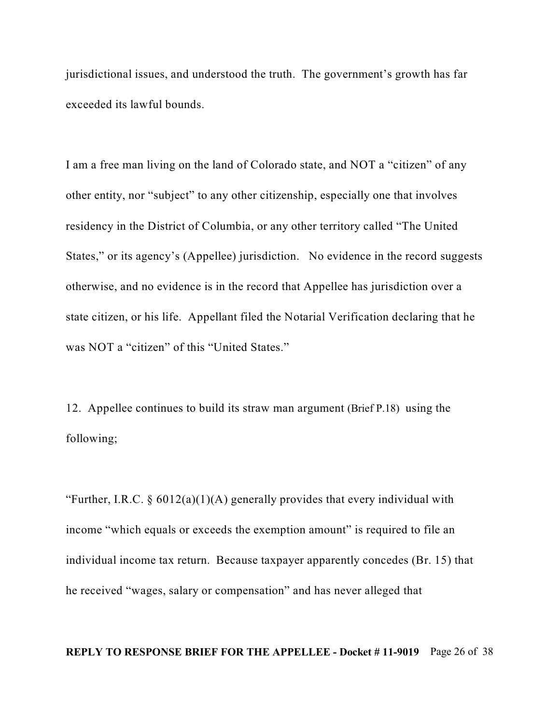jurisdictional issues, and understood the truth. The government's growth has far exceeded its lawful bounds.

I am a free man living on the land of Colorado state, and NOT a "citizen" of any other entity, nor "subject" to any other citizenship, especially one that involves residency in the District of Columbia, or any other territory called "The United States," or its agency's (Appellee) jurisdiction. No evidence in the record suggests otherwise, and no evidence is in the record that Appellee has jurisdiction over a state citizen, or his life. Appellant filed the Notarial Verification declaring that he was NOT a "citizen" of this "United States."

12. Appellee continues to build its straw man argument (Brief P.18) using the following;

"Further, I.R.C.  $\S 6012(a)(1)(A)$  generally provides that every individual with income "which equals or exceeds the exemption amount" is required to file an individual income tax return. Because taxpayer apparently concedes (Br. 15) that he received "wages, salary or compensation" and has never alleged that

#### **REPLY TO RESPONSE BRIEF FOR THE APPELLEE - Docket # 11-9019** Page 26 of 38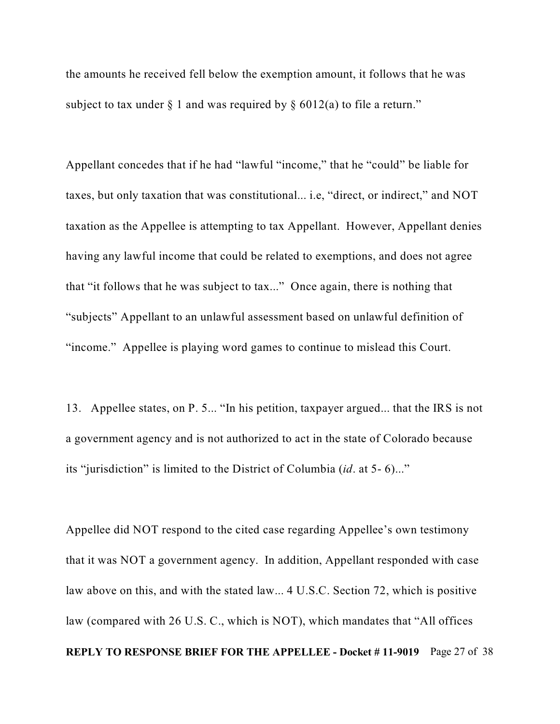the amounts he received fell below the exemption amount, it follows that he was subject to tax under  $\S$  1 and was required by  $\S$  6012(a) to file a return."

Appellant concedes that if he had "lawful "income," that he "could" be liable for taxes, but only taxation that was constitutional... i.e, "direct, or indirect," and NOT taxation as the Appellee is attempting to tax Appellant. However, Appellant denies having any lawful income that could be related to exemptions, and does not agree that "it follows that he was subject to tax..." Once again, there is nothing that "subjects" Appellant to an unlawful assessment based on unlawful definition of "income." Appellee is playing word games to continue to mislead this Court.

13. Appellee states, on P. 5... "In his petition, taxpayer argued... that the IRS is not a government agency and is not authorized to act in the state of Colorado because its "jurisdiction" is limited to the District of Columbia (*id*. at 5- 6)..."

Appellee did NOT respond to the cited case regarding Appellee's own testimony that it was NOT a government agency. In addition, Appellant responded with case law above on this, and with the stated law... 4 U.S.C. Section 72, which is positive law (compared with 26 U.S. C., which is NOT), which mandates that "All offices **REPLY TO RESPONSE BRIEF FOR THE APPELLEE - Docket # 11-9019** Page 27 of 38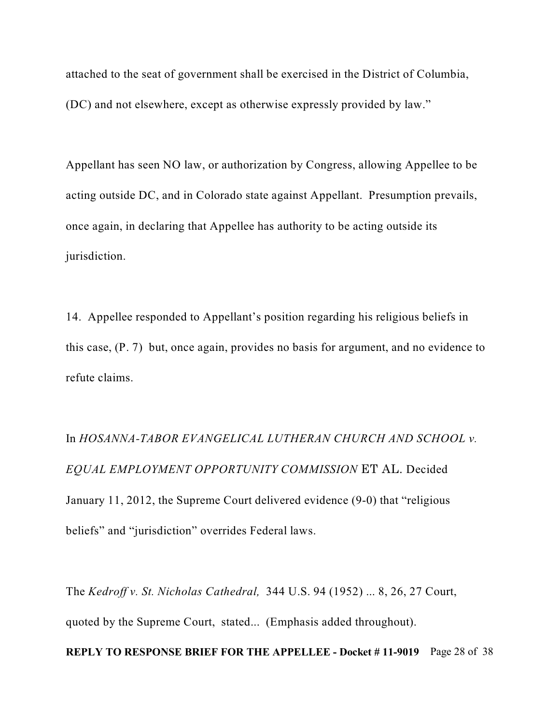attached to the seat of government shall be exercised in the District of Columbia, (DC) and not elsewhere, except as otherwise expressly provided by law."

Appellant has seen NO law, or authorization by Congress, allowing Appellee to be acting outside DC, and in Colorado state against Appellant. Presumption prevails, once again, in declaring that Appellee has authority to be acting outside its jurisdiction.

14. Appellee responded to Appellant's position regarding his religious beliefs in this case, (P. 7) but, once again, provides no basis for argument, and no evidence to refute claims.

In *HOSANNA-TABOR EVANGELICAL LUTHERAN CHURCH AND SCHOOL v. EQUAL EMPLOYMENT OPPORTUNITY COMMISSION ET AL.* Decided January 11, 2012, the Supreme Court delivered evidence (9-0) that "religious beliefs" and "jurisdiction" overrides Federal laws.

The *Kedroff v. St. Nicholas Cathedral,* 344 U.S. 94 (1952) ... 8, 26, 27 Court, quoted by the Supreme Court, stated... (Emphasis added throughout). **REPLY TO RESPONSE BRIEF FOR THE APPELLEE - Docket # 11-9019** Page 28 of 38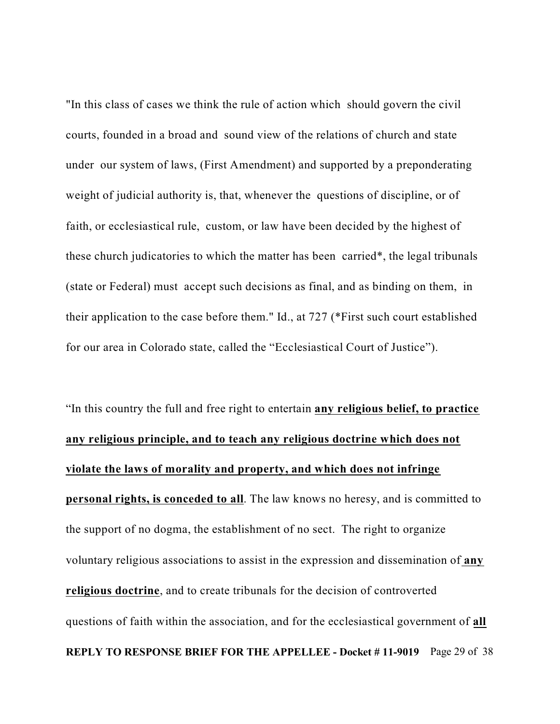"In this class of cases we think the rule of action which should govern the civil courts, founded in a broad and sound view of the relations of church and state under our system of laws, (First Amendment) and supported by a preponderating weight of judicial authority is, that, whenever the questions of discipline, or of faith, or ecclesiastical rule, custom, or law have been decided by the highest of these church judicatories to which the matter has been carried\*, the legal tribunals (state or Federal) must accept such decisions as final, and as binding on them, in their application to the case before them." Id., at 727 (\*First such court established for our area in Colorado state, called the "Ecclesiastical Court of Justice").

# "In this country the full and free right to entertain **any religious belief, to practice any religious principle, and to teach any religious doctrine which does not violate the laws of morality and property, and which does not infringe personal rights, is conceded to all**. The law knows no heresy, and is committed to the support of no dogma, the establishment of no sect. The right to organize voluntary religious associations to assist in the expression and dissemination of **any religious doctrine**, and to create tribunals for the decision of controverted questions of faith within the association, and for the ecclesiastical government of **all REPLY TO RESPONSE BRIEF FOR THE APPELLEE - Docket # 11-9019** Page 29 of 38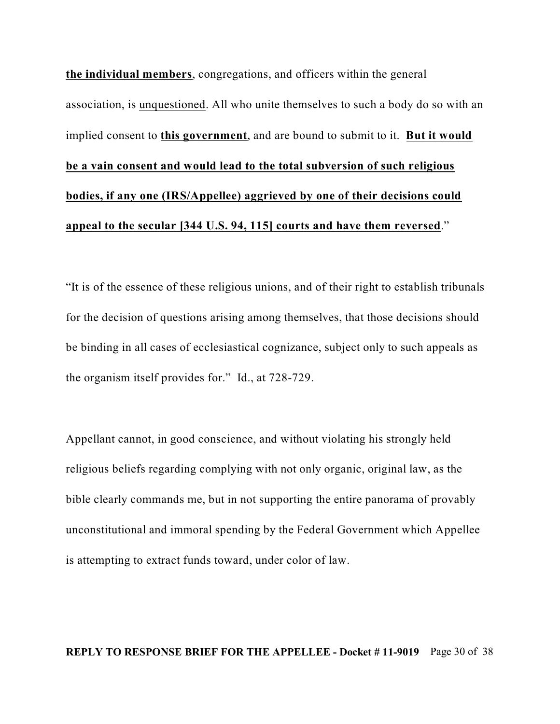**the individual members**, congregations, and officers within the general association, is unquestioned. All who unite themselves to such a body do so with an implied consent to **this government**, and are bound to submit to it. **But it would be a vain consent and would lead to the total subversion of such religious bodies, if any one (IRS/Appellee) aggrieved by one of their decisions could appeal to the secular [344 U.S. 94, 115] courts and have them reversed**."

"It is of the essence of these religious unions, and of their right to establish tribunals for the decision of questions arising among themselves, that those decisions should be binding in all cases of ecclesiastical cognizance, subject only to such appeals as the organism itself provides for." Id., at 728-729.

Appellant cannot, in good conscience, and without violating his strongly held religious beliefs regarding complying with not only organic, original law, as the bible clearly commands me, but in not supporting the entire panorama of provably unconstitutional and immoral spending by the Federal Government which Appellee is attempting to extract funds toward, under color of law.

#### **REPLY TO RESPONSE BRIEF FOR THE APPELLEE - Docket # 11-9019** Page 30 of 38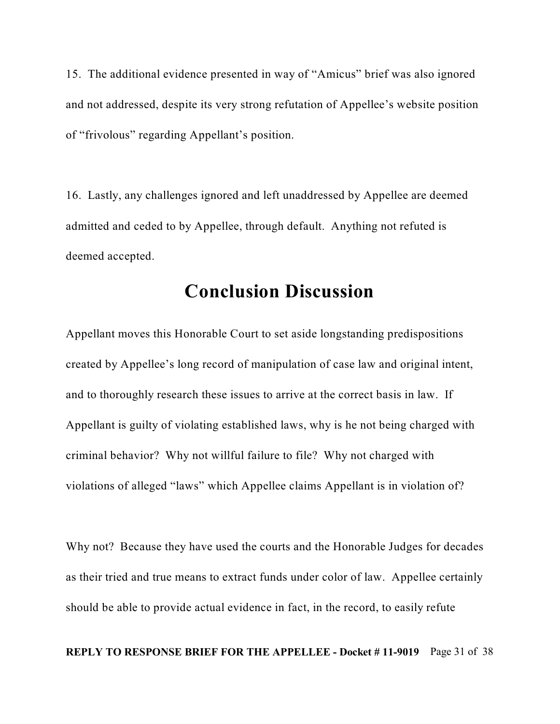15. The additional evidence presented in way of "Amicus" brief was also ignored and not addressed, despite its very strong refutation of Appellee's website position of "frivolous" regarding Appellant's position.

16. Lastly, any challenges ignored and left unaddressed by Appellee are deemed admitted and ceded to by Appellee, through default. Anything not refuted is deemed accepted.

## **Conclusion Discussion**

Appellant moves this Honorable Court to set aside longstanding predispositions created by Appellee's long record of manipulation of case law and original intent, and to thoroughly research these issues to arrive at the correct basis in law. If Appellant is guilty of violating established laws, why is he not being charged with criminal behavior? Why not willful failure to file? Why not charged with violations of alleged "laws" which Appellee claims Appellant is in violation of?

Why not? Because they have used the courts and the Honorable Judges for decades as their tried and true means to extract funds under color of law. Appellee certainly should be able to provide actual evidence in fact, in the record, to easily refute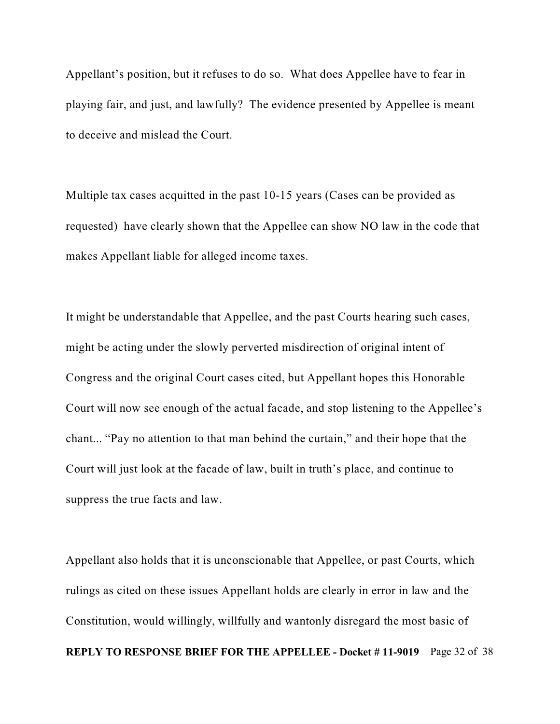Appellant's position, but it refuses to do so. What does Appellee have to fear in playing fair, and just, and lawfully? The evidence presented by Appellee is meant to deceive and mislead the Court.

Multiple tax cases acquitted in the past 10-15 years (Cases can be provided as requested) have clearly shown that the Appellee can show NO law in the code that makes Appellant liable for alleged income taxes.

It might be understandable that Appellee, and the past Courts hearing such cases, might be acting under the slowly perverted misdirection of original intent of Congress and the original Court cases cited, but Appellant hopes this Honorable Court will now see enough of the actual facade, and stop listening to the Appellee's chant... "Pay no attention to that man behind the curtain," and their hope that the Court will just look at the facade of law, built in truth's place, and continue to suppress the true facts and law.

Appellant also holds that it is unconscionable that Appellee, or past Courts, which rulings as cited on these issues Appellant holds are clearly in error in law and the Constitution, would willingly, willfully and wantonly disregard the most basic of **REPLY TO RESPONSE BRIEF FOR THE APPELLEE - Docket # 11-9019** Page 32 of 38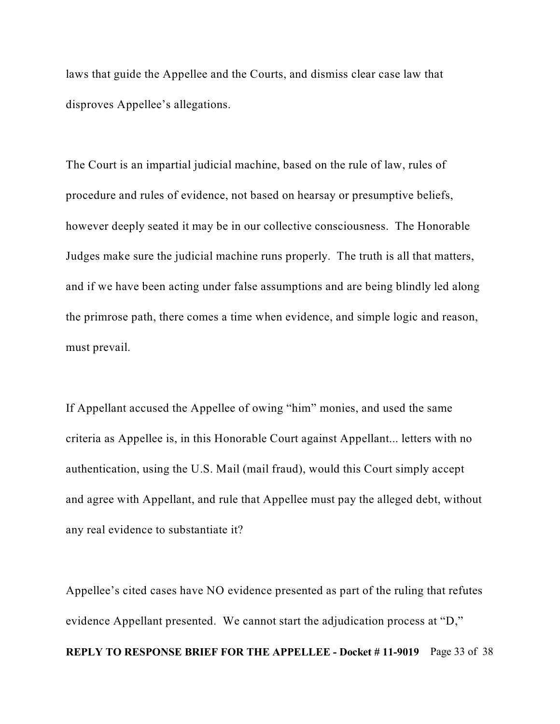laws that guide the Appellee and the Courts, and dismiss clear case law that disproves Appellee's allegations.

The Court is an impartial judicial machine, based on the rule of law, rules of procedure and rules of evidence, not based on hearsay or presumptive beliefs, however deeply seated it may be in our collective consciousness. The Honorable Judges make sure the judicial machine runs properly. The truth is all that matters, and if we have been acting under false assumptions and are being blindly led along the primrose path, there comes a time when evidence, and simple logic and reason, must prevail.

If Appellant accused the Appellee of owing "him" monies, and used the same criteria as Appellee is, in this Honorable Court against Appellant... letters with no authentication, using the U.S. Mail (mail fraud), would this Court simply accept and agree with Appellant, and rule that Appellee must pay the alleged debt, without any real evidence to substantiate it?

Appellee's cited cases have NO evidence presented as part of the ruling that refutes evidence Appellant presented. We cannot start the adjudication process at "D," **REPLY TO RESPONSE BRIEF FOR THE APPELLEE - Docket # 11-9019** Page 33 of 38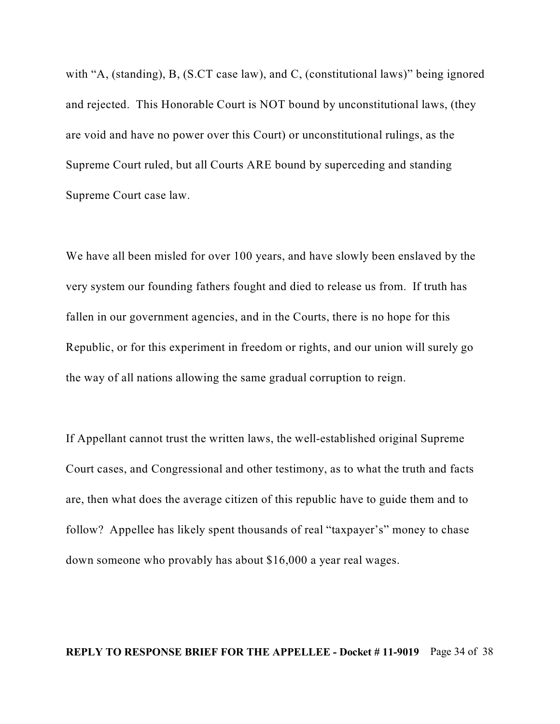with "A, (standing), B, (S.CT case law), and C, (constitutional laws)" being ignored and rejected. This Honorable Court is NOT bound by unconstitutional laws, (they are void and have no power over this Court) or unconstitutional rulings, as the Supreme Court ruled, but all Courts ARE bound by superceding and standing Supreme Court case law.

We have all been misled for over 100 years, and have slowly been enslaved by the very system our founding fathers fought and died to release us from. If truth has fallen in our government agencies, and in the Courts, there is no hope for this Republic, or for this experiment in freedom or rights, and our union will surely go the way of all nations allowing the same gradual corruption to reign.

If Appellant cannot trust the written laws, the well-established original Supreme Court cases, and Congressional and other testimony, as to what the truth and facts are, then what does the average citizen of this republic have to guide them and to follow? Appellee has likely spent thousands of real "taxpayer's" money to chase down someone who provably has about \$16,000 a year real wages.

#### **REPLY TO RESPONSE BRIEF FOR THE APPELLEE - Docket # 11-9019** Page 34 of 38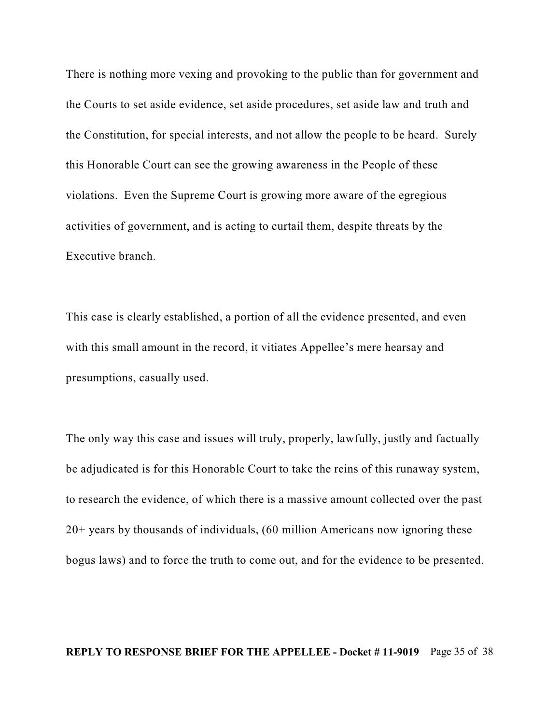There is nothing more vexing and provoking to the public than for government and the Courts to set aside evidence, set aside procedures, set aside law and truth and the Constitution, for special interests, and not allow the people to be heard. Surely this Honorable Court can see the growing awareness in the People of these violations. Even the Supreme Court is growing more aware of the egregious activities of government, and is acting to curtail them, despite threats by the Executive branch.

This case is clearly established, a portion of all the evidence presented, and even with this small amount in the record, it vitiates Appellee's mere hearsay and presumptions, casually used.

The only way this case and issues will truly, properly, lawfully, justly and factually be adjudicated is for this Honorable Court to take the reins of this runaway system, to research the evidence, of which there is a massive amount collected over the past 20+ years by thousands of individuals, (60 million Americans now ignoring these bogus laws) and to force the truth to come out, and for the evidence to be presented.

#### **REPLY TO RESPONSE BRIEF FOR THE APPELLEE - Docket # 11-9019** Page 35 of 38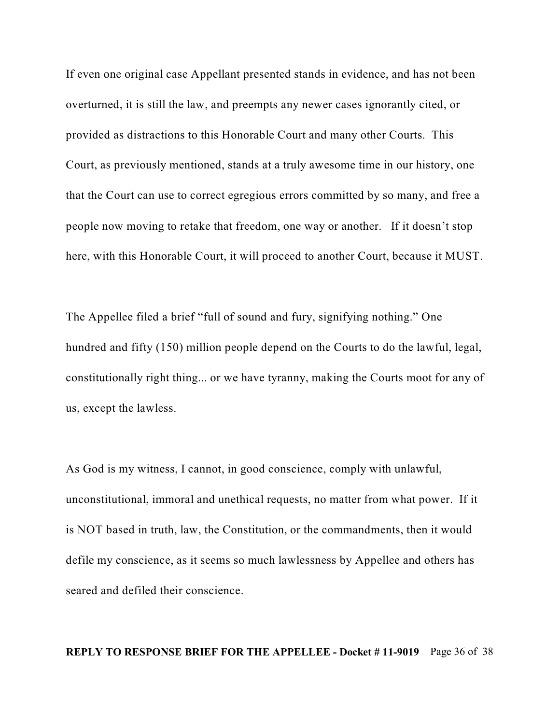If even one original case Appellant presented stands in evidence, and has not been overturned, it is still the law, and preempts any newer cases ignorantly cited, or provided as distractions to this Honorable Court and many other Courts. This Court, as previously mentioned, stands at a truly awesome time in our history, one that the Court can use to correct egregious errors committed by so many, and free a people now moving to retake that freedom, one way or another. If it doesn't stop here, with this Honorable Court, it will proceed to another Court, because it MUST.

The Appellee filed a brief "full of sound and fury, signifying nothing." One hundred and fifty (150) million people depend on the Courts to do the lawful, legal, constitutionally right thing... or we have tyranny, making the Courts moot for any of us, except the lawless.

As God is my witness, I cannot, in good conscience, comply with unlawful, unconstitutional, immoral and unethical requests, no matter from what power. If it is NOT based in truth, law, the Constitution, or the commandments, then it would defile my conscience, as it seems so much lawlessness by Appellee and others has seared and defiled their conscience.

#### **REPLY TO RESPONSE BRIEF FOR THE APPELLEE - Docket # 11-9019** Page 36 of 38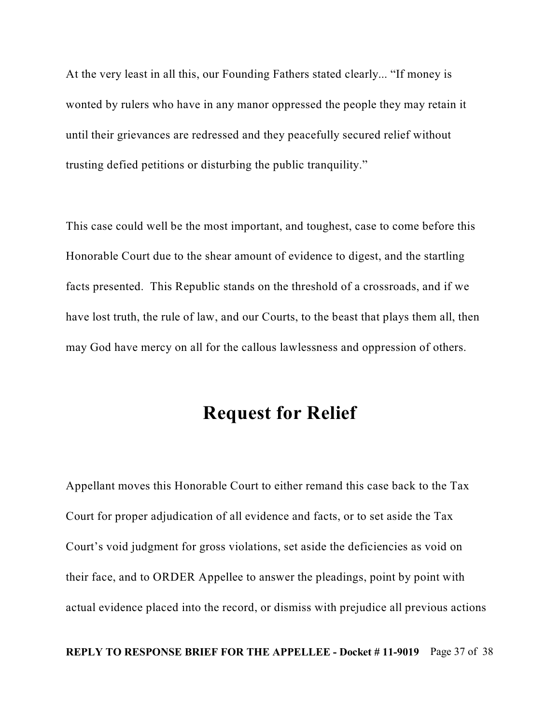At the very least in all this, our Founding Fathers stated clearly... "If money is wonted by rulers who have in any manor oppressed the people they may retain it until their grievances are redressed and they peacefully secured relief without trusting defied petitions or disturbing the public tranquility."

This case could well be the most important, and toughest, case to come before this Honorable Court due to the shear amount of evidence to digest, and the startling facts presented. This Republic stands on the threshold of a crossroads, and if we have lost truth, the rule of law, and our Courts, to the beast that plays them all, then may God have mercy on all for the callous lawlessness and oppression of others.

## **Request for Relief**

Appellant moves this Honorable Court to either remand this case back to the Tax Court for proper adjudication of all evidence and facts, or to set aside the Tax Court's void judgment for gross violations, set aside the deficiencies as void on their face, and to ORDER Appellee to answer the pleadings, point by point with actual evidence placed into the record, or dismiss with prejudice all previous actions